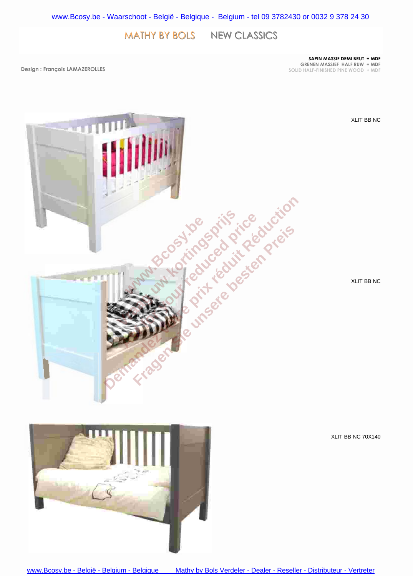MATHY BY BOLS NEW CLASSICS

**SAPIN MASSIF DEMI BRUT + MDF GRENEN MASSIEF HALF RUW + MDF SOLID HALF-FINISHED PINE WOOD + MDF**

**Design : François LAMAZEROLLES**



XLIT BB NC

XLIT BB NC

XLIT BB NC 70X140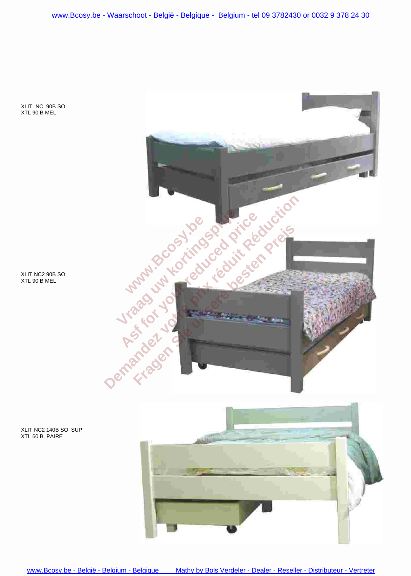[www.Bcosy.be - Waarschoot - België - Belgique - Belgium - tel 09 3782430 or 0032 9 378 24 30](https://www.bcosy.be/)

XLIT NC 90B SO XTL 90 B MEL





XLIT NC2 140B SO SUP XTL 60 B PAIRE

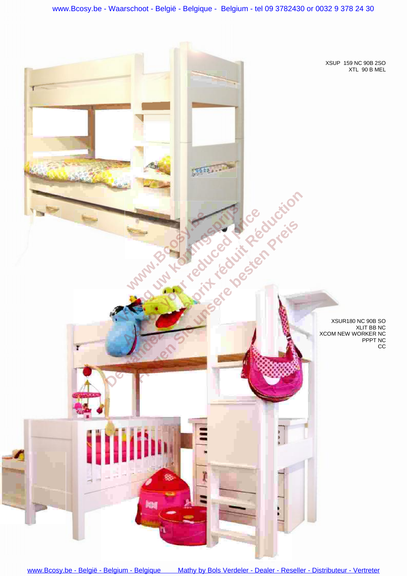www.Bcosy.be - Waarschoot - België - Belgique - Belgium - tel 09 3782430 or 0032 9 378 24 30

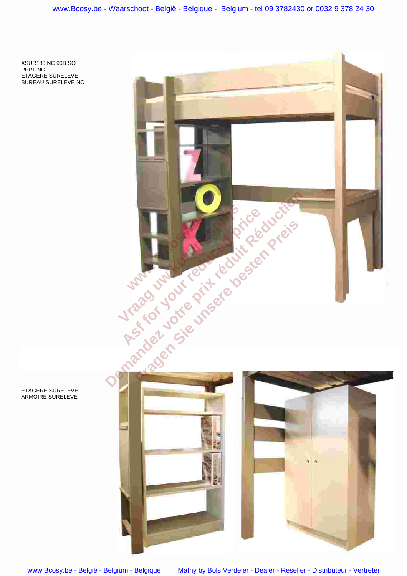XSUR180 NC 90B SO PPPT NC ETAGERE SURELEVE BUREAU SURELEVE NC



ETAGERE SURELEVE ARMOIRE SURELEVE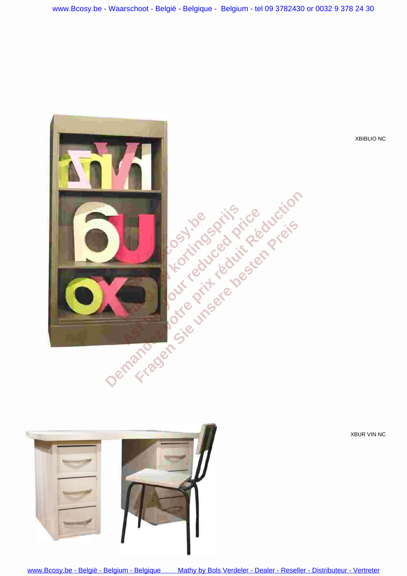

XBIBLIO NC





[www.Bcosy.be - België - Belgium - Belgique Mathy by Bols Verdeler - Dealer - Reseller - Distributeur - Vertreter](https://www.bcosy.be/webshop/merken/mathy-by-bols-kindermeubelen-kinderkamers-katalogus-catalogus-children-kids-bedroom-furniture-meubles-pour-enfants-webshop-boutique-vente-en-ligne-catalogue-baby-kindermoebel-katalog/)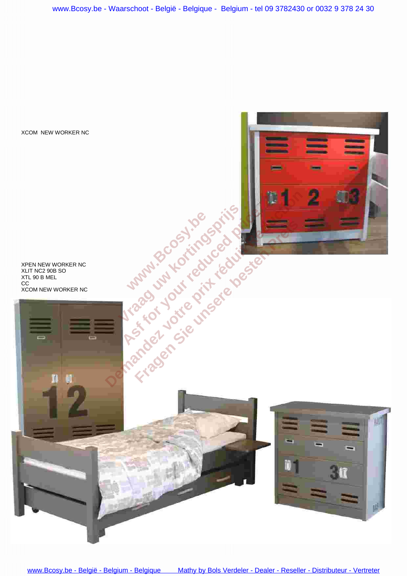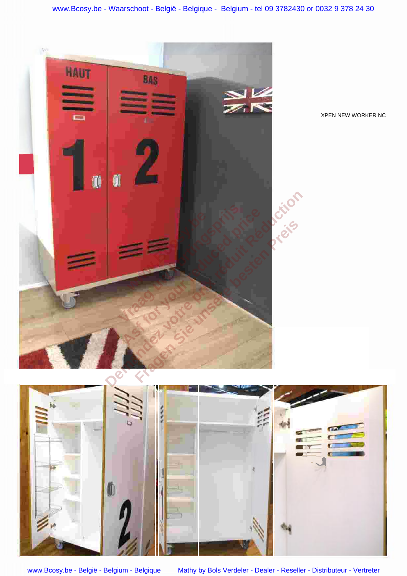

www.Bcosy.be - België - Belgium - Belgique

Mathy by Bols Verdeler - Dealer - Reseller - Distributeur - Vertreter